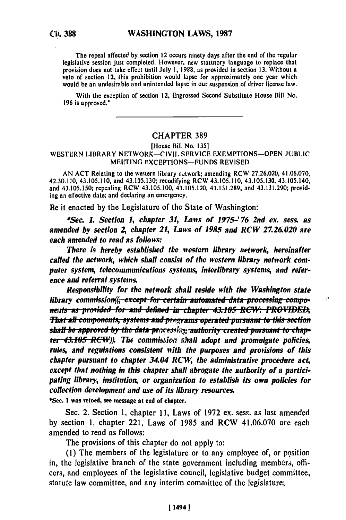The repeal affected **by** section 12 occurs ninety days after the end of the regular legislative session just completed. However, new statutory language to replace that provision does not take effect until July **1, 1988,** as provided in section **13.** Without a provision does not take effect until July 1, 1988, as provided in section 13. Without a veto of section 12, this prohibition would lapse for approximately one year which would **be** an undesirable and unintended lapse in our suspension of driver license law.

With the exception of section 12, Engrossed Second Substitute House Bill No. **196** is approved."

## CHAPTER **389**

#### [House Bill No. **135]**

#### WESTERN LIBRARY NETWORK-CIVIL SERVICE **EXEMPTIONS-OPEN PUBLIC MEETING EXCEPTIONS-FUNDS** REVISED

**AN ACT** Relating to the western library n.ztwork; amending RCW **27.26.020,** 41.06.070, 42.30.110, 43.105.110, and 43.105.130; recodifying RCW 43.105.110, 43.105.130, 43.105.140, and **43.105.150;** repealing RCW 43.105.100, 43.105.120, **43.131.289,** and 43.131.290; providing an effective date; and declaring an emergency.

Be it enacted **by** the Legislature of the State of Washington:

*\*Sec 1. Section 1, chapter 31, Laws of 1975! 76 2nd* **ex.** *sess. as amended by section A chapter 21, Laws of 1985 and RCW 27.26.020 are each amended to read as follows:*

*There is hereby established the western library network, hereinafter called the network, which shall consist of the western library network computer system, telecommunications systems, interlibrary systems, and reference and referral systems.*

ľ

*Responsibility for the network shall reside with the Washington state library commission*((<del>, except for certain automated data processing compo-</del> *nens as* **po.;;Jd** *fo* ....... **a.** in. *. 43.105* **.ap ,** .. **RC--** *PRO"DED, fliat all components, systems and programs operated pursuant to this section*<br>shall be approved by the data processing authority created pursuant to chap-**-***43.1 5 RC-W) The commisk'o shall adopt and promulgate policies, rules, and regulations consistent with the purposes and provisions of this chapter pursuant to chapter 34.04 RCW, the administrative procedure ac4 except that nothing in this chapter shall abrogate the authority of a participating library, institution, or organization to establish its own policies for collection development and use of its library resources.*

\*Sec. **I** was vetoed, see message at end of chapter.

Sec. 2. Section 1, chapter 11, Laws of 1972 ex. sess. as last amended by section 1, chapter 221, Laws of 1985 and RCW 41.06.070 are each amended to read as follows:

The provisions of this chapter do not apply to:

 $(1)$  The members of the legislature or to any employee of, or position in, the legislative branch of the state government including members, officers, and employees of the legislative council, legislative budget committee, statute law committee, and any interim committee of the legislature;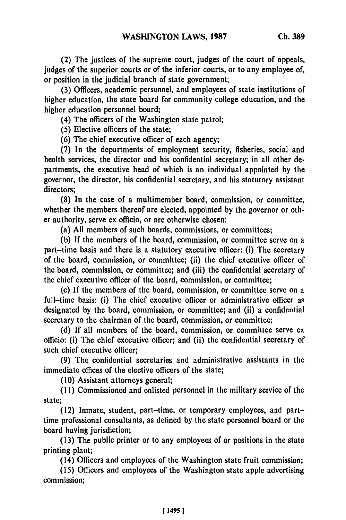(2) The justices of the supreme court, judges of the court of appeals, judges of the superior courts or of the inferior courts, or to any employee of, or position in the judicial branch of state government;

**(3)** Officers, academic personnel, and employees of state institutions of higher education, the state board for community college education, and the higher education personnel board;

(4) The officers of the Washington state patrol;

**(5)** Elective officers of the state;

**(6)** The chief executive officer of each agency;

**(7)** In the departments of employment security, fisheries, social and health services, the director and his confidential secretary; in all other departments, the executive head of which is an individual appointed **by** the governor, the director, his confidential secretary, and his statutory assistant directors:

**(8)** In the case of a multimember board, commission, or committee, whether the members thereof are elected, appointed **by** the governor or other authority, serve ex officio, or are otherwise chosen:

(a) **All** members of such boards, commissions, or committees;

**(b)** If the members of the board, commission, or committee serve on a part-time basis and there is a statutory executive officer: (i) The secretary of the board, commission, or committee; (ii) the chief executive officer of the board, commission, or committee; and (iii) the confidential secretary of the chief executive officer of the board, commission, or committee;

(c) **If** the members of the board, commission, or committee serve on a full-time basis: (i) The chief executive officer or administrative officer as designated **by** the board, commission, or committee; and (ii) a confidential secretary to the chairman of the board, commission, or committee;

**(d) If** all members of the board, commission, or committee serve ex officio: (i) The chief executive officer; and (ii) the confidential secretary of such chief executive officer;

**(9)** The confidential secretaries and administrative assistants in the immediate offices of the elective officers of the state;

**(10)** Assistant attorneys general;

**(11)** Commissioned and enlisted personnel in the military service of the state;

(12) Inmate, student, part-time, or temporary employees, and parttime professional consultants, as defined **by** the state personnel board or the board having jurisdiction;

**(13)** The public printer or to any employees of or positions in the state printing plant;

(14) Officers and employees of the Washington state fruit commission;

**(15)** Officers and employees of the Washington state apple advertising commission;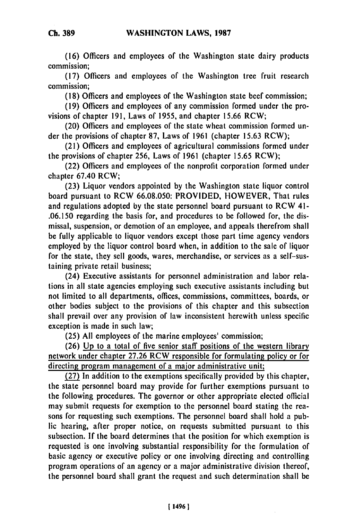**(16)** Officers and employees of the Washington state dairy products commission;

(17) Officers and employees of the Washington tree fruit research commission;

(18) Officers and employees of the Washington state beef commission;

(19) Officers and employees of any commission formed under the provisions of chapter 191, Laws of 1955, and chapter 15.66 RCW;

(20) Officers and employees of the state wheat commission formed under the provisions of chapter 87, Laws of 1961 (chapter 15.63 RCW);

(21) Officers and employees of agricultural commissions formed under the provisions of chapter 256, Laws of 1961 (chapter 15.65 RCW);

(22) Officers and employees of the nonprofit corporation formed under chapter 67.40 RCW;

(23) Liquor vendors appointed by the Washington state liquor control board pursuant to RCW 66.08.050: PROVIDED, HOWEVER, That rules and regulations adopted by the state personnel board pursuant to RCW 41- .06.150 regarding the basis for, and procedures to be followed for, the dismissal, suspension, or demotion of an employee, and appeals therefrom shall be fully applicable to liquor vendors except those part time agency vendors employed by the liquor control board when, in addition to the sale of liquor for the state, they sell goods, wares, merchandise, or services as a self-sustaining private retail business;

(24) Executive assistants for personnel administration and labor relations in all state agencies employing such executive assistants including but not limited to all departments, offices, commissions, committees, boards, or other bodies subject to the provisions of this chapter and this subsection shall prevail over any provision of law inconsistent herewith unless specific exception is made in such law;

(25) All employees of the marine employees' commission;

(26) Up to a total of five senior staff positions of the western library network under chapter 27.26 RCW responsible for formulating policy or for directing program management of a major administrative unit;

(27) In addition to the exemptions specifically provided by this chapter, the state personnel board may provide for further exemptions pursuant to the following procedures. The governor or other appropriate elected official may submit requests for exemption to the personnel board stating the reasons for requesting such exemptions. The personnel board shall hold a public hearing, after proper notice, on requests submitted pursuant to this subsection. **If** the board determines that the position for which exemption is requested is one involving substantial responsibility for the formulation of basic agency or executive policy or one involving directing and controlling program operations of an agency or a major administrative division thereof, the personnel board shall grant the request and such determination shall be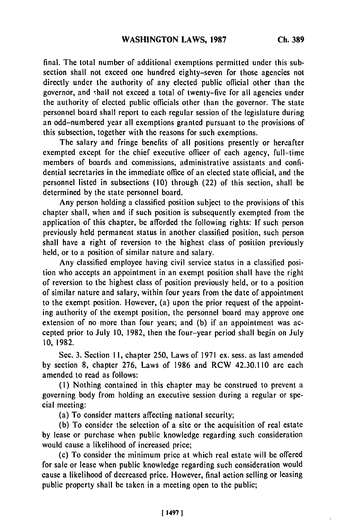final. The total number of additional exemptions permitted under this subsection shall not exceed one hundred eighty-seven for those agencies not directly under the authority of any elected public official other than the governor, and rhall not exceed a total of twenty-five for all agencies under the authority of elected public officials other than the governor. The state personnel board shall report to each regular session of the legislature during an odd-numbered year all exemptions granted pursuant to the provisions of this subsection, together with the reasons for such exemptions.

The salary and fringe benefits of all positions presently or hereafter exempted except for the chief executive officer of each agency, full-time members of boards and commissions, administrative assistants and confidential secretaries in the immediate office of an elected state official, and the personnel listed in subsections **(10)** through (22) of this section, shall **be** determined **by** the state personnel board.

Any person holding a classified position subject to the provisions of this chapter shall, when and if such position is subsequently exempted from the application of this chapter, be afforded the following rights: **If** such person previously held permanent status in another classified position, such person shall have a right of reversion to the highest class of position previously **held,** or to a position of similar nature and salary.

Any classified employee having civil service status in a classified position who accepts an appointment in an exempt position shall have the right of reversion to the highest class of position previously held, or to a position of similar nature and salary, within four years from the date of appointment to the exempt position. However, (a) upon the prior request of the appointing authority of the exempt position, the personnel board may approve one extension of no more than four years; and **(b)** if an appointment was accepted prior to July **10, 1982,** then the four-year period shall begin on July **10, 1982.**

Sec. **3.** Section **1I,** chapter **250,** Laws of **1971 ex.** sess. as last amended **by** section **8,** chapter **276,** Laws of **1986** and RCW 42.30.110 are each amended to read as follows:

**(I)** Nothing contained in this chapter may be construed to prevent a governing body from holding an executive session during a regular or special meeting:

(a) To consider matters affecting national security;

**(b)** To consider the selection of a site or the acquisition of real estate **by** lease or purchase when public knowledge regarding such consideration would cause a likelihood of increased price;

(c) To consider the minimum price at which real estate will be offered for sale or lease when public knowledge regarding such consideration would cause a likelihood of decreased price. However, final action selling or leasing public property shall be taken in a meeting open to the public;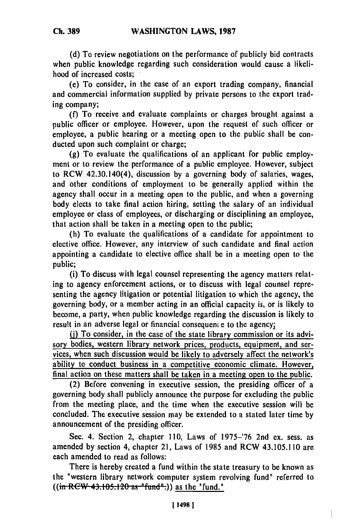**(d)** To review negotiations on the performance of publicly bid contracts when public knowledge regarding such consideration would cause a likelihood of increased costs;

(e) To consider, in the case of an export trading company, financial and commercial information supplied by private persons to the export trading company;

(f) To receive and evaluate complaints or charges brought against a public officer or employee. However, upon the request of such officer or employee, a public hearing or a meeting open to the public shall be conducted upon such complaint or charge;

**(g)** To evaluate the qualifications of an applicant for public employment or to review the performance of a public employee. However, subject to RCW 42.30.140(4), discussion by a governing body of salaries, wages, and other conditions of employment to be generally applied within the agency shall occur in a meeting open to the public, and when a governing body elects to take final action hiring, setting the salary of an individual employee or class of employees, or discharging or disciplining an employee, that action shall be taken in a meeting open to the public;

(h) To evaluate the qualifications of a candidate for appointment to elective office. However, any interview of such candidate and final action appointing a candidate to elective office shall be in a meeting open to the public;

(i) To discuss with legal counsel representing the agency matters relating to agency enforcement actions, or to discuss with legal counsel representing the agency litigation or potential litigation to which the agency, the governing body, or a member acting in an official capacity is, or is likely to become, a party, when public knowledge regarding the discussion is likely to result in an adverse legal or financial consequent e to the agency,

**(i)** To consider, in the case of the state library commission or its advisory bodies, western library network prices, products, equipment, and services, when such discussion would be likely to adversely affect the network's ability to conduct business in a competitive economic climate. However, final action on these matters shall be taken in a meeting open to the public.

(2) Before convening in executive session, the presiding officer of a governing body shall publicly announce the purpose for excluding the public from the meeting place, and the time when the executive session will be concluded. The executive session may be extended to a stated later time by announcement of the presiding officer.

Sec. 4. Section 2, chapter 110, Laws of 1975-'76 2nd ex. sess. as amended by section 4, chapter 21, Laws of 1985 and RCW 43.105.110 are each amended to read as follows:

There is hereby created a fund within the state treasury to be known as the "western library network computer system revolving fund" referred to  $((\text{in } RCW - 43.105.120 \text{ as } "fund".))$  as the "fund."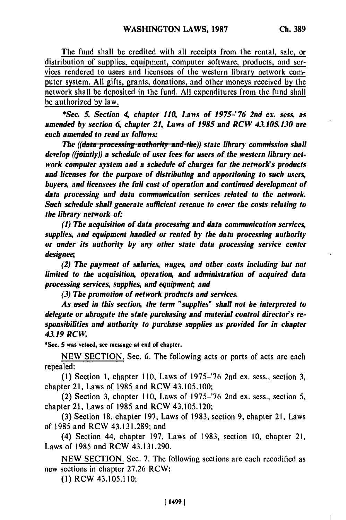The fund shall be credited with all receipts from the rental, sale, or distribution of supplies, equipment, computer software, products, and services rendered to users and licensees of the western library network computer system. All gifts, grants, donations, and other moneys received by the network shall be deposited in the fund. All expenditures from the fund shall be authorized **by** law.

*\*Sec. 5. Section 4 chapter 110, Laws of 1975-'76 2nd ex. sess. as amended by section 6, chapter 21, Laws of 1985 and RCW 43.105.130 are each amended to read as follows:*

*The ((data processing-authority and the)) state library commission shall develop ((jointly)) a schedule of user fees for users of the western library network computer system and a schedule of charges for the network's products and licenses for the purpose of distributing and apportioning to such users, buyers, and licensees the full cost of operation and continued development of data processing and data communication services related to the network. Such schedule shall generate sufficient revenue to cover the costs relating to the library network of-*

*(1) The acquisition of data processing and data communication services, supplies, and equipment handled or rented by the data processing authority or under its authority by any other state data processing service center designee*

*(2) The payment of salaries, wages, and other costs including but not limited to the acquisition, operation, and administration of acquired data processing services, supplies, and equipmen; and*

*(3) The promotion of network products and services.*

*As used in this section, the term "supplies" shall not be interpreted to delegate or abrogate the state purchasing and material control director's responsibilities and authority to purchase supplies as provided for in chapter 43.19 RCW.*

\*Sec. **5** was vetoed, see message at end of chapter.

NEW SECTION. Sec. 6. The following acts or parts of acts are each repealed:

**(1)** Section **1,** chapter 110, Laws of 1975-'76 2nd ex. sess., section 3, chapter 21, Laws of 1985 and RCW 43.105.100;

(2) Section 3, chapter 110, Laws of 1975-'76 2nd ex. sess., section 5, chapter 21, Laws of 1985 and RCW 43.105.120;

(3) Section **18,** chapter 197, Laws of 1983, section 9, chapter 21, Laws of 1985 and RCW 43.131.289; and

(4) Section 44, chapter 197, Laws of 1983, section 10, chapter 21, Laws of 1985 and RCW 43.131.290.

NEW SECTION. Sec. 7. The following sections are each recodified as new sections in chapter 27.26 RCW:

(1) RCW 43.105.110;